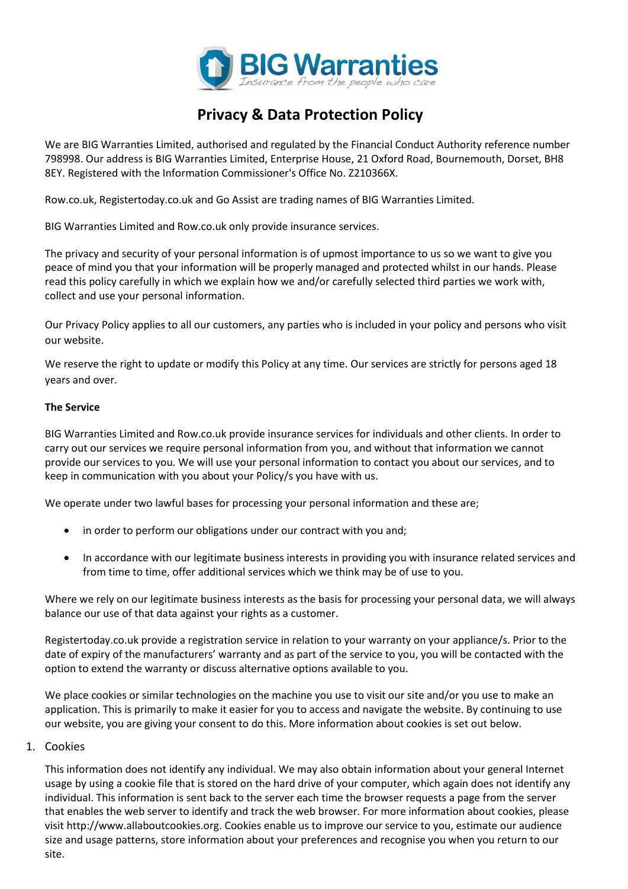

# **Privacy & Data Protection Policy**

We are BIG Warranties Limited, authorised and regulated by the Financial Conduct Authority reference number 798998. Our address is BIG Warranties Limited, Enterprise House, 21 Oxford Road, Bournemouth, Dorset, BH8 8EY. Registered with the Information Commissioner's Office No. Z210366X.

Row.co.uk, Registertoday.co.uk and Go Assist are trading names of BIG Warranties Limited.

BIG Warranties Limited and Row.co.uk only provide insurance services.

The privacy and security of your personal information is of upmost importance to us so we want to give you peace of mind you that your information will be properly managed and protected whilst in our hands. Please read this policy carefully in which we explain how we and/or carefully selected third parties we work with, collect and use your personal information.

Our Privacy Policy applies to all our customers, any parties who is included in your policy and persons who visit our website.

We reserve the right to update or modify this Policy at any time. Our services are strictly for persons aged 18 years and over.

### **The Service**

BIG Warranties Limited and Row.co.uk provide insurance services for individuals and other clients. In order to carry out our services we require personal information from you, and without that information we cannot provide our services to you. We will use your personal information to contact you about our services, and to keep in communication with you about your Policy/s you have with us.

We operate under two lawful bases for processing your personal information and these are;

- in order to perform our obligations under our contract with you and;
- In accordance with our legitimate business interests in providing you with insurance related services and from time to time, offer additional services which we think may be of use to you.

Where we rely on our legitimate business interests as the basis for processing your personal data, we will always balance our use of that data against your rights as a customer.

Registertoday.co.uk provide a registration service in relation to your warranty on your appliance/s. Prior to the date of expiry of the manufacturers' warranty and as part of the service to you, you will be contacted with the option to extend the warranty or discuss alternative options available to you.

We place cookies or similar technologies on the machine you use to visit our site and/or you use to make an application. This is primarily to make it easier for you to access and navigate the website. By continuing to use our website, you are giving your consent to do this. More information about cookies is set out below.

#### 1. Cookies

This information does not identify any individual. We may also obtain information about your general Internet usage by using a cookie file that is stored on the hard drive of your computer, which again does not identify any individual. This information is sent back to the server each time the browser requests a page from the server that enables the web server to identify and track the web browser. For more information about cookies, please visit [http://www.allaboutcookies.org.](http://www.allaboutcookies.org/) Cookies enable us to improve our service to you, estimate our audience size and usage patterns, store information about your preferences and recognise you when you return to our site.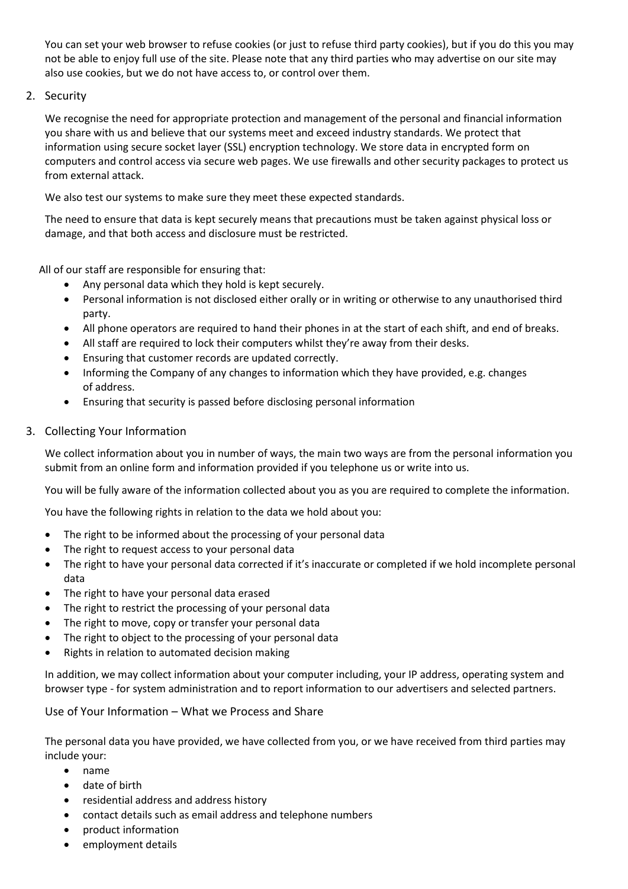You can set your web browser to refuse cookies (or just to refuse third party cookies), but if you do this you may not be able to enjoy full use of the site. Please note that any third parties who may advertise on our site may also use cookies, but we do not have access to, or control over them.

# 2. Security

We recognise the need for appropriate protection and management of the personal and financial information you share with us and believe that our systems meet and exceed industry standards. We protect that information using secure socket layer (SSL) encryption technology. We store data in encrypted form on computers and control access via secure web pages. We use firewalls and other security packages to protect us from external attack.

We also test our systems to make sure they meet these expected standards.

The need to ensure that data is kept securely means that precautions must be taken against physical loss or damage, and that both access and disclosure must be restricted.

All of our staff are responsible for ensuring that:

- Any personal data which they hold is kept securely.
- Personal information is not disclosed either orally or in writing or otherwise to any unauthorised third party.
- All phone operators are required to hand their phones in at the start of each shift, and end of breaks.
- All staff are required to lock their computers whilst they're away from their desks.
- Ensuring that customer records are updated correctly.
- Informing the Company of any changes to information which they have provided, e.g. changes of address.
- Ensuring that security is passed before disclosing personal information

# 3. Collecting Your Information

We collect information about you in number of ways, the main two ways are from the personal information you submit from an online form and information provided if you telephone us or write into us.

You will be fully aware of the information collected about you as you are required to complete the information.

You have the following rights in relation to the data we hold about you:

- The right to be informed about the processing of your personal data
- The right to request access to your personal data
- The right to have your personal data corrected if it's inaccurate or completed if we hold incomplete personal data
- The right to have your personal data erased
- The right to restrict the processing of your personal data
- The right to move, copy or transfer your personal data
- The right to object to the processing of your personal data
- Rights in relation to automated decision making

In addition, we may collect information about your computer including, your IP address, operating system and browser type - for system administration and to report information to our advertisers and selected partners.

Use of Your Information – What we Process and Share

The personal data you have provided, we have collected from you, or we have received from third parties may include your:

- name
- date of birth
- residential address and address history
- contact details such as email address and telephone numbers
- product information
- employment details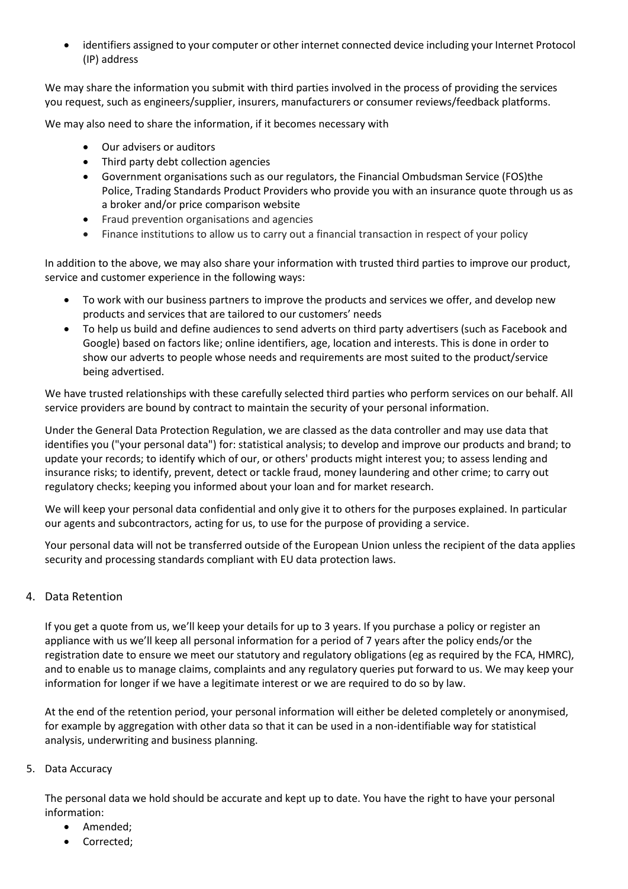• identifiers assigned to your computer or other internet connected device including your Internet Protocol (IP) address

We may share the information you submit with third parties involved in the process of providing the services you request, such as engineers/supplier, insurers, manufacturers or consumer reviews/feedback platforms.

We may also need to share the information, if it becomes necessary with

- Our advisers or auditors
- Third party debt collection agencies
- Government organisations such as our regulators, the Financial Ombudsman Service (FOS)the Police, Trading Standards Product Providers who provide you with an insurance quote through us as a broker and/or price comparison website
- Fraud prevention organisations and agencies
- Finance institutions to allow us to carry out a financial transaction in respect of your policy

In addition to the above, we may also share your information with trusted third parties to improve our product, service and customer experience in the following ways:

- To work with our business partners to improve the products and services we offer, and develop new products and services that are tailored to our customers' needs
- To help us build and define audiences to send adverts on third party advertisers (such as Facebook and Google) based on factors like; online identifiers, age, location and interests. This is done in order to show our adverts to people whose needs and requirements are most suited to the product/service being advertised.

We have trusted relationships with these carefully selected third parties who perform services on our behalf. All service providers are bound by contract to maintain the security of your personal information.

Under the General Data Protection Regulation, we are classed as the data controller and may use data that identifies you ("your personal data") for: statistical analysis; to develop and improve our products and brand; to update your records; to identify which of our, or others' products might interest you; to assess lending and insurance risks; to identify, prevent, detect or tackle fraud, money laundering and other crime; to carry out regulatory checks; keeping you informed about your loan and for market research.

We will keep your personal data confidential and only give it to others for the purposes explained. In particular our agents and subcontractors, acting for us, to use for the purpose of providing a service.

Your personal data will not be transferred outside of the European Union unless the recipient of the data applies security and processing standards compliant with EU data protection laws.

# 4. Data Retention

If you get a quote from us, we'll keep your details for up to 3 years. If you purchase a policy or register an appliance with us we'll keep all personal information for a period of 7 years after the policy ends/or the registration date to ensure we meet our statutory and regulatory obligations (eg as required by the FCA, HMRC), and to enable us to manage claims, complaints and any regulatory queries put forward to us. We may keep your information for longer if we have a legitimate interest or we are required to do so by law.

At the end of the retention period, your personal information will either be deleted completely or anonymised, for example by aggregation with other data so that it can be used in a non-identifiable way for statistical analysis, underwriting and business planning.

# 5. Data Accuracy

The personal data we hold should be accurate and kept up to date. You have the right to have your personal information:

- Amended;
- Corrected;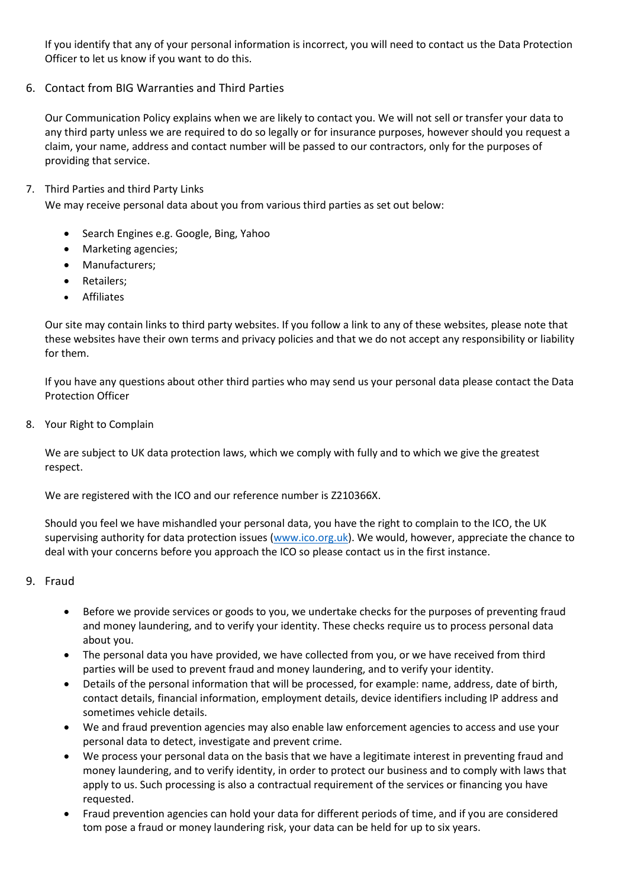If you identify that any of your personal information is incorrect, you will need to contact us the Data Protection Officer to let us know if you want to do this.

6. Contact from BIG Warranties and Third Parties

Our Communication Policy explains when we are likely to contact you. We will not sell or transfer your data to any third party unless we are required to do so legally or for insurance purposes, however should you request a claim, your name, address and contact number will be passed to our contractors, only for the purposes of providing that service.

# 7. Third Parties and third Party Links

We may receive personal data about you from various third parties as set out below:

- Search Engines e.g. Google, Bing, Yahoo
- Marketing agencies;
- Manufacturers;
- Retailers;
- **Affiliates**

Our site may contain links to third party websites. If you follow a link to any of these websites, please note that these websites have their own terms and privacy policies and that we do not accept any responsibility or liability for them.

If you have any questions about other third parties who may send us your personal data please contact the Data Protection Officer

8. Your Right to Complain

We are subject to UK data protection laws, which we comply with fully and to which we give the greatest respect.

We are registered with the ICO and our reference number is Z210366X.

Should you feel we have mishandled your personal data, you have the right to complain to the ICO, the UK supervising authority for data protection issues [\(www.ico.org.uk\)](http://www.ico.org.uk/). We would, however, appreciate the chance to deal with your concerns before you approach the ICO so please contact us in the first instance.

# 9. Fraud

- Before we provide services or goods to you, we undertake checks for the purposes of preventing fraud and money laundering, and to verify your identity. These checks require us to process personal data about you.
- The personal data you have provided, we have collected from you, or we have received from third parties will be used to prevent fraud and money laundering, and to verify your identity.
- Details of the personal information that will be processed, for example: name, address, date of birth, contact details, financial information, employment details, device identifiers including IP address and sometimes vehicle details.
- We and fraud prevention agencies may also enable law enforcement agencies to access and use your personal data to detect, investigate and prevent crime.
- We process your personal data on the basis that we have a legitimate interest in preventing fraud and money laundering, and to verify identity, in order to protect our business and to comply with laws that apply to us. Such processing is also a contractual requirement of the services or financing you have requested.
- Fraud prevention agencies can hold your data for different periods of time, and if you are considered tom pose a fraud or money laundering risk, your data can be held for up to six years.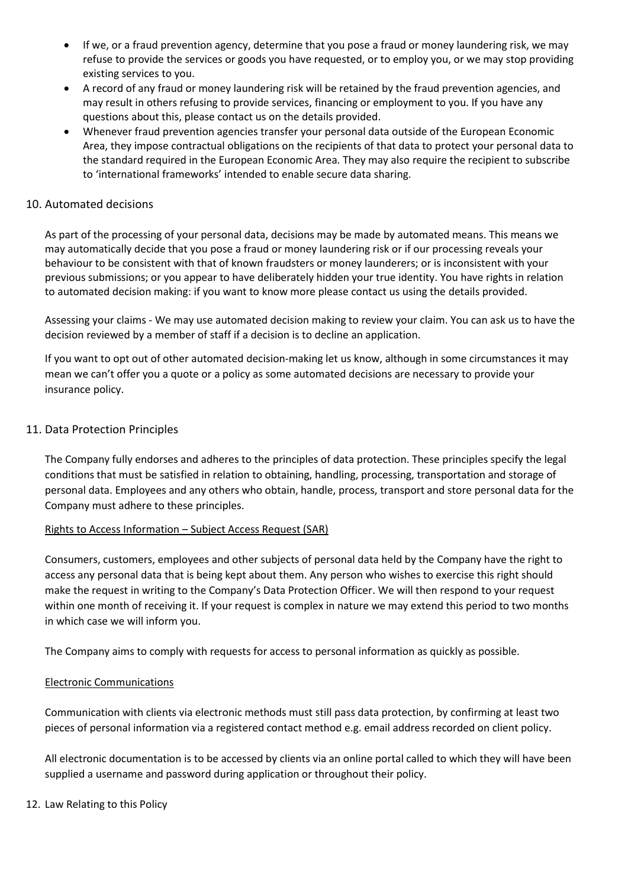- If we, or a fraud prevention agency, determine that you pose a fraud or money laundering risk, we may refuse to provide the services or goods you have requested, or to employ you, or we may stop providing existing services to you.
- A record of any fraud or money laundering risk will be retained by the fraud prevention agencies, and may result in others refusing to provide services, financing or employment to you. If you have any questions about this, please contact us on the details provided.
- Whenever fraud prevention agencies transfer your personal data outside of the European Economic Area, they impose contractual obligations on the recipients of that data to protect your personal data to the standard required in the European Economic Area. They may also require the recipient to subscribe to 'international frameworks' intended to enable secure data sharing.

# 10. Automated decisions

As part of the processing of your personal data, decisions may be made by automated means. This means we may automatically decide that you pose a fraud or money laundering risk or if our processing reveals your behaviour to be consistent with that of known fraudsters or money launderers; or is inconsistent with your previous submissions; or you appear to have deliberately hidden your true identity. You have rights in relation to automated decision making: if you want to know more please contact us using the details provided.

Assessing your claims - We may use automated decision making to review your claim. You can ask us to have the decision reviewed by a member of staff if a decision is to decline an application.

If you want to opt out of other automated decision-making let us know, although in some circumstances it may mean we can't offer you a quote or a policy as some automated decisions are necessary to provide your insurance policy.

# 11. Data Protection Principles

The Company fully endorses and adheres to the principles of data protection. These principles specify the legal conditions that must be satisfied in relation to obtaining, handling, processing, transportation and storage of personal data. Employees and any others who obtain, handle, process, transport and store personal data for the Company must adhere to these principles.

#### Rights to Access Information – Subject Access Request (SAR)

Consumers, customers, employees and other subjects of personal data held by the Company have the right to access any personal data that is being kept about them. Any person who wishes to exercise this right should make the request in writing to the Company's Data Protection Officer. We will then respond to your request within one month of receiving it. If your request is complex in nature we may extend this period to two months in which case we will inform you.

The Company aims to comply with requests for access to personal information as quickly as possible.

# Electronic Communications

Communication with clients via electronic methods must still pass data protection, by confirming at least two pieces of personal information via a registered contact method e.g. email address recorded on client policy.

All electronic documentation is to be accessed by clients via an online portal called to which they will have been supplied a username and password during application or throughout their policy.

#### 12. Law Relating to this Policy